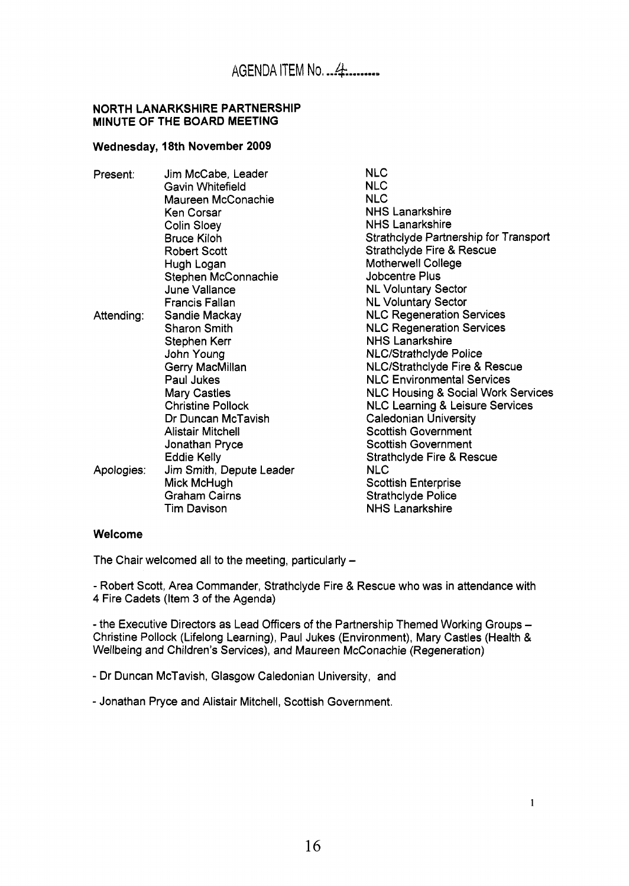### **NORTH LANARKSHIRE PARTNERSHIP MINUTE OF THE BOARD MEETING**

### **Wednesday, 18th November 2009**

| Present:   | Jim McCabe, Leader       | <b>NLC</b>                                 |
|------------|--------------------------|--------------------------------------------|
|            | <b>Gavin Whitefield</b>  | <b>NLC</b>                                 |
|            | Maureen McConachie       | <b>NLC</b>                                 |
|            | <b>Ken Corsar</b>        | <b>NHS Lanarkshire</b>                     |
|            | <b>Colin Sloey</b>       | <b>NHS Lanarkshire</b>                     |
|            | <b>Bruce Kiloh</b>       | Strathclyde Partnership for Transport      |
|            | <b>Robert Scott</b>      | <b>Strathclyde Fire &amp; Rescue</b>       |
|            | Hugh Logan               | <b>Motherwell College</b>                  |
|            | Stephen McConnachie      | <b>Jobcentre Plus</b>                      |
|            | June Vallance            | <b>NL Voluntary Sector</b>                 |
|            | <b>Francis Fallan</b>    | <b>NL Voluntary Sector</b>                 |
| Attending: | Sandie Mackay            | <b>NLC Regeneration Services</b>           |
|            | <b>Sharon Smith</b>      | <b>NLC Regeneration Services</b>           |
|            | Stephen Kerr             | <b>NHS Lanarkshire</b>                     |
|            | John Young               | <b>NLC/Strathclyde Police</b>              |
|            | Gerry MacMillan          | <b>NLC/Strathclyde Fire &amp; Rescue</b>   |
|            | Paul Jukes               | <b>NLC Environmental Services</b>          |
|            | <b>Mary Castles</b>      | NLC Housing & Social Work Services         |
|            | <b>Christine Pollock</b> | <b>NLC Learning &amp; Leisure Services</b> |
|            | Dr Duncan McTavish       | <b>Caledonian University</b>               |
|            | <b>Alistair Mitchell</b> | <b>Scottish Government</b>                 |
|            | Jonathan Pryce           | <b>Scottish Government</b>                 |
|            | Eddie Kelly              | Strathclyde Fire & Rescue                  |
| Apologies: | Jim Smith, Depute Leader | <b>NLC</b>                                 |
|            | Mick McHugh              | <b>Scottish Enterprise</b>                 |
|            | <b>Graham Cairns</b>     | <b>Strathclyde Police</b>                  |
|            | Tim Davison              | <b>NHS Lanarkshire</b>                     |

### **Welcome**

The Chair welcomed all to the meeting, particularly  $-$ 

- Robert Scott, Area Commander, Strathclyde Fire & Rescue who was in attendance with **4** Fire Cadets (Item 3 of the Agenda)

- the Executive Directors as Lead Officers of the Partnership Themed Working Groups -Christine Pollock (Lifelong Learning), Paul Jukes (Environment), Mary Castles (Health & Wellbeing and Children's Services), and Maureen McConachie (Regeneration)

- Dr Duncan McTavish, Glasgow Caledonian University, and

- Jonathan Pryce and Alistair Mitchell, Scottish Government.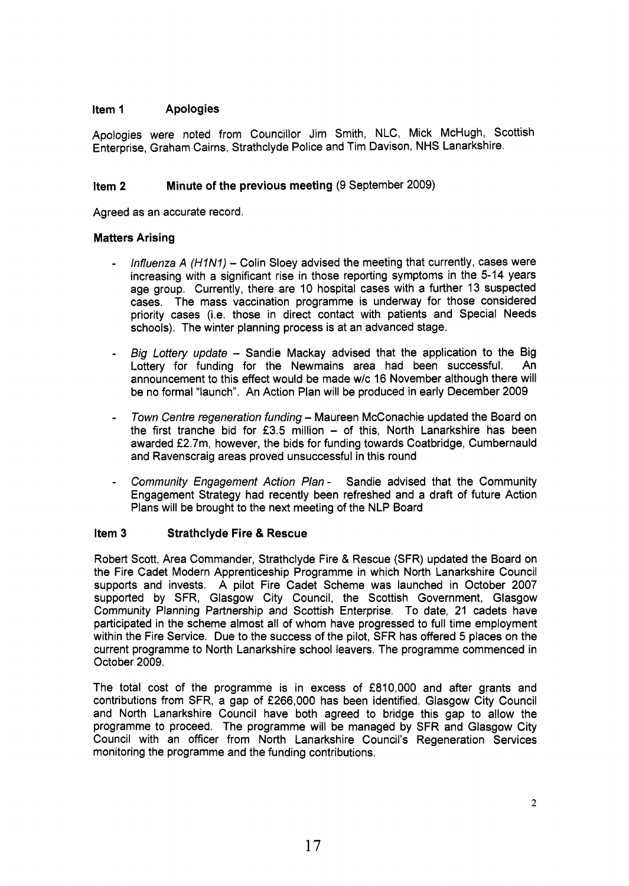# Item **1** Apologies

Apologies were noted from Councillor Jim Smith, NLC, Mick McHugh, Scottish Enterprise, Graham Cairns, Strathclyde Police and Tim Davison, NHS Lanarkshire.

## Item **2** Minute **of** the previous meeting (9 September 2009)

Agreed as an accurate record.

## Matters Arising

- Influenza A (H1N1) Colin Sloey advised the meeting that currently, cases were increasing with a significant rise in those reporting symptoms in the 5-14 years age group. Currently, there are 10 hospital cases with a further 13 suspected cases. The mass vaccination programme is underway for those considered priority cases (i.e. those in direct contact with patients and Special Needs schools). The winter planning process is at an advanced stage.
- *Big Lottery update*  Sandie Mackay advised that the application to the Big Lottery for funding for the Newmains area had been successful. announcement to this effect would be made w/c 16 November although there will be no formal "launch". An Action Plan will be produced in early December 2009
- *Town Centre regeneration funding* Maureen McConachie updated the Board on the first tranche bid for £3.5 million  $-$  of this, North Lanarkshire has been awarded £2.7m, however, the bids for funding towards Coatbridge, Cumbernauld and Ravenscraig areas proved unsuccessful in this round
- *Community Engagement Action Plan*  Sandie advised that the Community Engagement Strategy had recently been refreshed and a draft of future Action Plans will be brought to the next meeting of the NLP Board

## Item **3** Strathclyde Fire & Rescue

Robert Scott, Area Commander, Strathclyde Fire & Rescue (SFR) updated the Board on the Fire Cadet Modern Apprenticeship Programme in which North Lanarkshire Council supports and invests. **A** pilot Fire Cadet Scheme was launched in October 2007 supported by SFR, Glasgow City Council, the Scottish Government, Glasgow Community Planning Partnership and Scottish Enterprise. To date, 21 cadets have participated in the scheme almost all of whom have progressed to full time employment within the Fire Service. Due to the success of the pilot, SFR has offered **5** places on the current programme to North Lanarkshire school leavers. The programme commenced in October 2009.

The total cost of the programme is in excess of £810,000 and after grants and contributions from SFR, a gap of f266,OOO has been identified. Glasgow City Council and North Lanarkshire Council have both agreed to bridge this gap to allow the programme to proceed. The programme will be managed by SFR and Glasgow City Council with an officer from North Lanarkshire Council's Regeneration Services monitoring the programme and the funding contributions.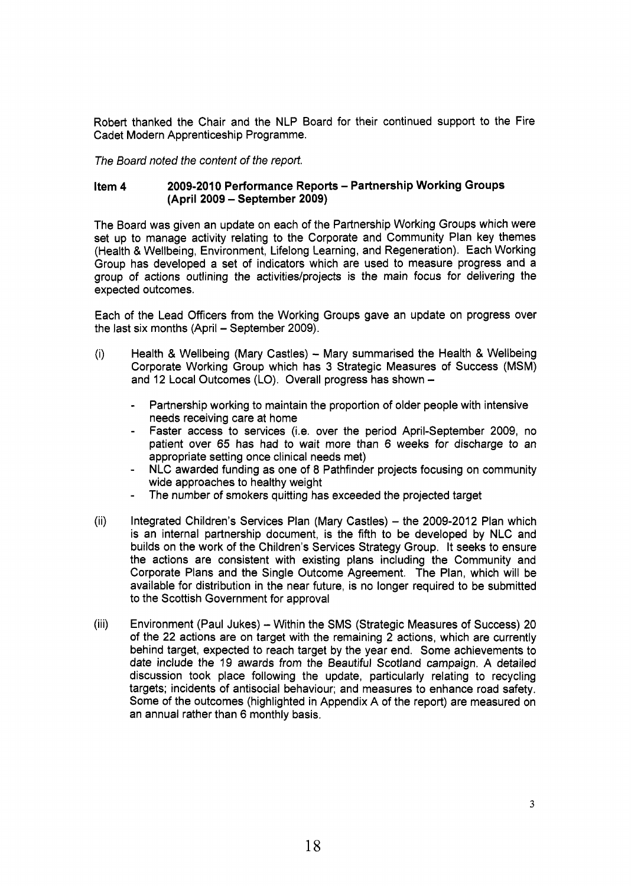Robert thanked the Chair and the NLP Board for their continued support to the Fire Cadet Modern Apprenticeship Programme.

The Board noted the content *of* the report.

### **Item 4 2009-201 0 Performance Reports** - **Partnership Working Groups (April 2009** - **September 2009)**

The Board was given an update on each of the Partnership Working Groups which were set up to manage activity relating to the Corporate and Community Plan key themes (Health & Wellbeing, Environment, Lifelong Learning, and Regeneration). Each Working Group has developed a set of indicators which are used to measure progress and a group of actions outlining the activitiedprojects *is* the main focus for delivering the expected outcomes.

Each of the Lead Officers from the Working Groups gave an update on progress over the last six months (April - September 2009).

- (i) Health & Wellbeing (Mary Castles) Mary summarised the Health & Wellbeing Corporate Working Group which has **3** Strategic Measures of Success (MSM) and 12 Local Outcomes (LO). Overall progress has shown -
	- Partnership working to maintain the proportion of older people with intensive needs receiving care at home
	- Faster access to services (i.e. over the period April-September 2009, no patient over 65 has had to wait more than 6 weeks for discharge to an appropriate setting once clinical needs met)
	- NLC awarded funding as one of **8** Pathfinder projects focusing on community wide approaches to healthy weight -
	- The number of smokers quitting has exceeded the projected target -
- (ii) Integrated Children's Services Plan (Mary Castles) the 2009-2012 Plan which is an internal partnership document, is the fifth to be developed by NLC and builds on the work of the Children's Services Strategy Group. It seeks to ensure the actions are consistent with existing plans including the Community and Corporate Plans and the Single Outcome Agreement. The Plan, which will be available for distribution in the near future, is no longer required to be submitted to the Scottish Government for approval
- (iii) Environment (Paul Jukes) Within the SMS (Strategic Measures of Success) 20 of the 22 actions are on target with the remaining 2 actions, which are currently behind target, expected to reach target by the year end. Some achievements to date include the 19 awards from the Beautiful Scotland campaign. A detailed discussion took place following the update, particularly relating to recycling targets; incidents of antisocial behaviour; and measures to enhance road safety. Some of the outcomes (highlighted in Appendix A of the report) are measured on an annual rather than 6 monthly basis.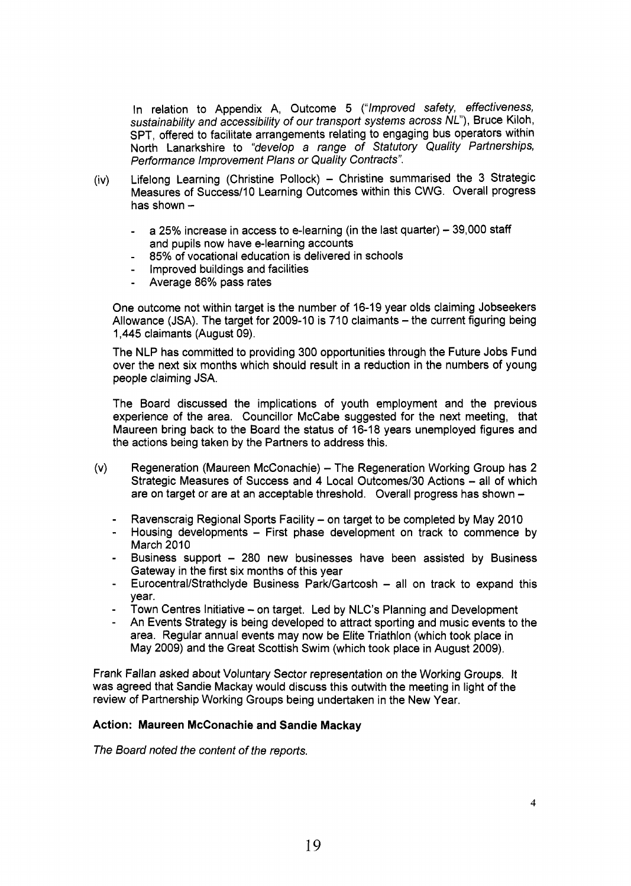In relation to Appendix A, Outcome 5 *("lmproved safety, effectiveness, sustainability and accessibility of our transport systems across NL"),* Bruce Kiloh, SPT, offered to facilitate arrangements relating to engaging bus operators within North Lanarkshire to *"develop a range of Statutory Quality Partnerships, Performance lmprovement Plans or Quality Contracts".* 

- Lifelong Learning (Christine Pollock) Christine summarised the 3 Strategic  $(iv)$ Measures of Success/lO Learning Outcomes within this CWG. Overall progress has shown  $-$ 
	- a 25% increase in access to e-learning (in the last quarter)  $-$  39,000 staff and pupils now have e-learning accounts
	- 85% of vocational education is delivered in schools
	- lmproved buildings and facilities
	- Average 86% pass rates

One outcome not within target is the number of 16-19 year olds claiming Jobseekers Allowance (JSA). The target for 2009-10 is 710 claimants - the current figuring being 1,445 claimants (August 09).

The NLP has committed to providing 300 opportunities through the Future Jobs Fund over the next six months which should result in a reduction in the numbers of young people claiming JSA.

The Board discussed the implications of youth employment and the previous experience of the area. Councillor McCabe suggested for the next meeting, that Maureen bring back to the Board the status of 16-18 years unemployed figures and the actions being taken by the Partners to address this.

- (v) Regeneration (Maureen McConachie) The Regeneration Working Group has 2 Strategic Measures of Success and 4 Local Outcomes/30 Actions - all of which are on target or are at an acceptable threshold. Overall progress has shown -
	- Ravenscraig Regional Sports Facility – on target to be completed by May 2010
	- Housing developments - First phase development on track to commence by **March 2010**
	- Business support 280 new businesses have been assisted by Business Gateway in the first six months of this year
	- Eurocentral/Strathclyde Business Park/Gartcosh all on track to expand this year.
	- Town Centres Initiative - on target. Led by NLC's Planning and Development
	- An Events Strategy is being developed to attract sporting and music events to the area. Regular annual events may now be Elite Triathlon (which took place in May 2009) and the Great Scottish Swim (which took place in August 2009).

Frank Fallan asked about Voluntary Sector representation on the Working Groups. It was agreed that Sandie Mackay would discuss this outwith the meeting in light of the review of Partnership Working Groups being undertaken in the New Year.

### **Action: Maureen McConachie and Sandie Mackay**

*The Board noted the content of the reports.*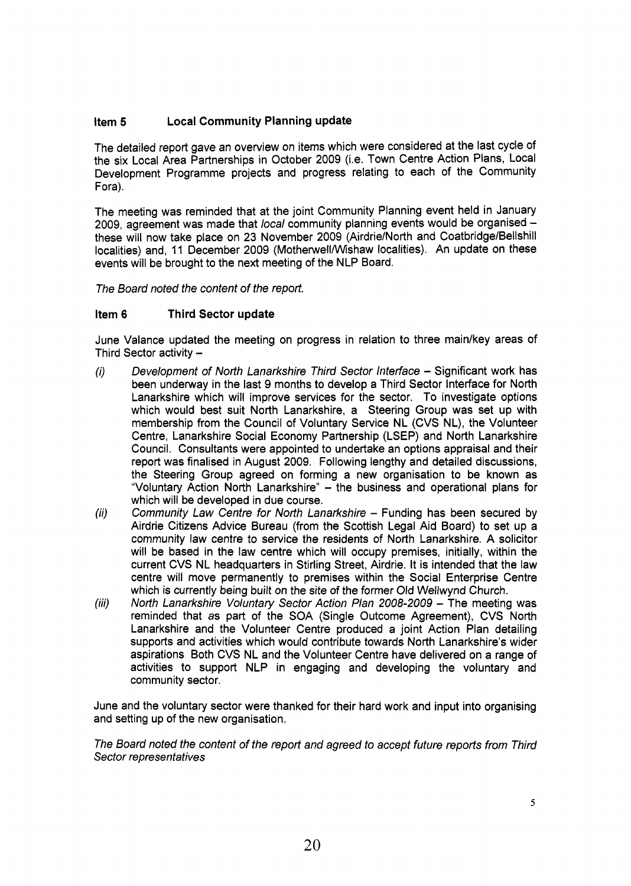#### **Item 5 Local Community Planning update**

The detailed report gave an overview on items which were considered at the last cycle of the six Local Area Partnerships in October 2009 (i.e. Town Centre Action Plans, Local Development Programme projects and progress relating to each of the Community Fora).

The meeting was reminded that at the joint Community Planning event held in January 2009, agreement was made that *local* community planning events would be organised these will now take place on 23 November 2009 (Airdrie/North and Coatbridge/Bellshill localities) and, 11 December 2009 (Motherwell/Wishaw localities). An update on these events will be brought to the next meeting of the NLP Board.

*The Board noted the content of the report.* 

### **Item 6 Third Sector update**

June Valance updated the meeting on progress in relation to three main/key areas of Third Sector activity -

- $(i)$ *Development of North Lanarkshire Third Sector Interface - Significant work has* been underway in the last 9 months to develop a Third Sector Interface for North Lanarkshire which will improve services for the sector. To investigate options which would best suit North Lanarkshire, a Steering Group was set up with membership from the Council of Voluntary Service NL (CVS NL), the Volunteer Centre, Lanarkshire Social Economy Partnership (LSEP) and North Lanarkshire Council. Consultants were appointed to undertake an options appraisal and their report was finalised in August 2009. Following lengthy and detailed discussions, the Steering Group agreed on forming a new organisation to be known as "Voluntary Action North Lanarkshire" - the business and operational plans for which will be developed in due course.
- *(ii) Community Law Centre for North Lanarkshire - Funding has been secured by* Airdrie Citizens Advice Bureau (from the Scottish Legal Aid Board) to set up a community law centre to service the residents of North Lanarkshire. A solicitor will be based in the law centre which will occupy premises, initially, within the current CVS NL headquarters in Stirling Street, Airdrie. It is intended that the law centre will move permanently to premises within the Social Enterprise Centre which is currently being built on the site of the former Old Wellwynd Church.
- *(iii) North Lanarkshire Voluntary Sector Action Plan 2008-2009 - The meeting was* reminded that *as* part of the SOA (Single Outcome Agreement), CVS North Lanarkshire and the Volunteer Centre produced a joint Action Plan detailing supports and activities which would contribute towards North Lanarkshire's wider aspirations. Both CVS NL and the Volunteer Centre have delivered on a range of activities to support NLP in engaging and developing the voluntary and community sector.

June and the voluntary sector were thanked for their hard work and input into organising and setting up of the new organisation.

*The Board noted the content of the report and agreed to accept future reports from Third Sector representatives*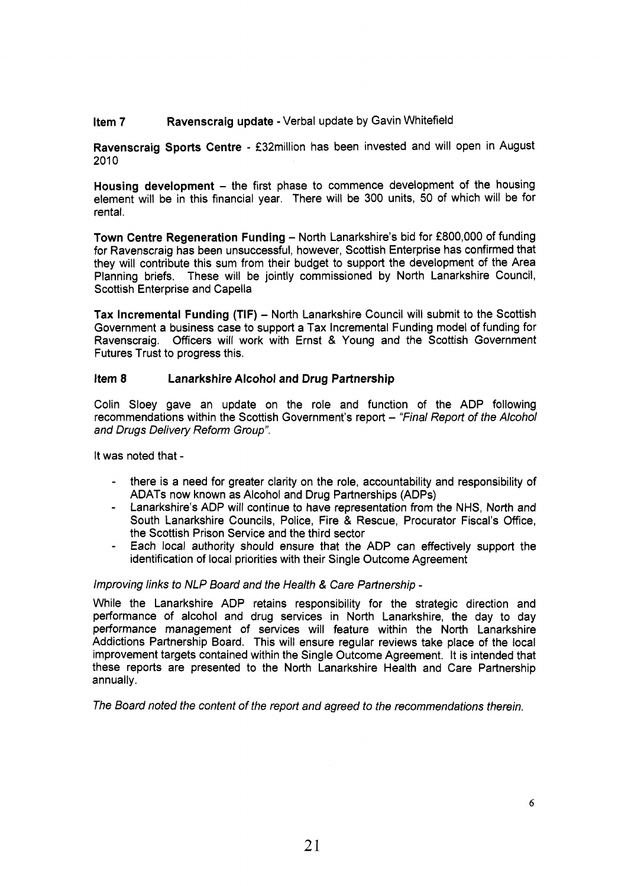### **Item 7 Ravenscraig update - Verbal update by Gavin Whitefield**

**Ravenscraig Sports Centre** - f32million has been invested and will open in August  $2010$ 

**Housing development** - the first phase to commence development of the housing element will be in this financial year. There will be 300 units, 50 of which will be for rental.

**Town Centre Regeneration Funding - North Lanarkshire's bid for £800,000 of funding** for Ravenscraig has been unsuccessful, however, Scottish Enterprise has confirmed that they will contribute this sum from their budget to support the development of the Area Planning briefs. These will be jointly commissioned by North Lanarkshire Council, Scottish Enterprise and Capella

Tax Incremental Funding (TIF) - North Lanarkshire Council will submit to the Scottish Government a business case to support a Tax Incremental Funding model of funding for Ravenscraig. Officers will work with Ernst & Young and the Scottish Government Futures Trust to progress this.

### **Item 8 Lanarkshire Alcohol and Drug Partnership**

Colin Sloey gave an update on the role and function of the ADP following recommendations within the Scottish Government's report - *"Final Report of the Alcohol and Drugs Delivery Reform Group".* 

It was noted that -

- there is a need for greater clarity on the role, accountability and responsibility of ADATs now known as Alcohol and Drug Partnerships (ADPs)
- Lanarkshire's ADP will continue to have representation from the NHS, North and South Lanarkshire Councils, Police, Fire & Rescue, Procurator Fiscal's Office, the Scottish Prison Service and the third sector
- Each local authority should ensure that the ADP can effectively support the identification of local priorities with their Single Outcome Agreement -

### *Improving links to NLP Board and the Health* & *Care Partnership* -

While the Lanarkshire ADP retains responsibility for the strategic direction and performance of alcohol and drug services in North Lanarkshire, the day to day performance management of services will feature within the North Lanarkshire Addictions Partnership Board. This will ensure regular reviews take place of the local improvement targets contained within the Single Outcome Agreement. It is intended that these reports are presented to the North Lanarkshire Health and Care Partnership annually.

*The Board noted the content of the report and agreed to the recommendations therein.*